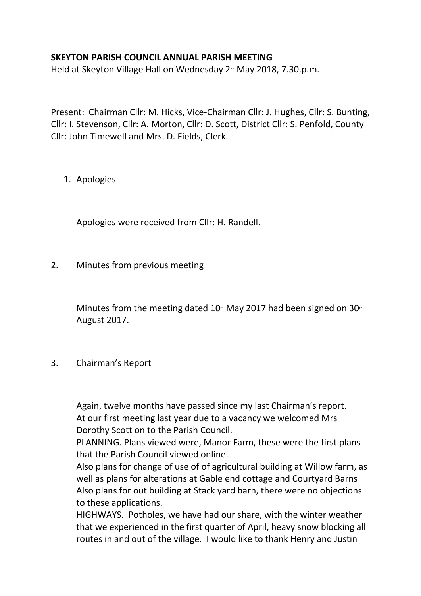## **SKEYTON PARISH COUNCIL ANNUAL PARISH MEETING**

Held at Skeyton Village Hall on Wednesday 2<sup>nd</sup> May 2018, 7.30.p.m.

Present: Chairman Cllr: M. Hicks, Vice-Chairman Cllr: J. Hughes, Cllr: S. Bunting, Cllr: I. Stevenson, Cllr: A. Morton, Cllr: D. Scott, District Cllr: S. Penfold, County Cllr: John Timewell and Mrs. D. Fields, Clerk.

1. Apologies

Apologies were received from Cllr: H. Randell.

2. Minutes from previous meeting

Minutes from the meeting dated  $10<sup>th</sup>$  May 2017 had been signed on 30<sup>th</sup> August 2017.

3. Chairman's Report

Again, twelve months have passed since my last Chairman's report. At our first meeting last year due to a vacancy we welcomed Mrs Dorothy Scott on to the Parish Council.

PLANNING. Plans viewed were, Manor Farm, these were the first plans that the Parish Council viewed online.

Also plans for change of use of of agricultural building at Willow farm, as well as plans for alterations at Gable end cottage and Courtyard Barns Also plans for out building at Stack yard barn, there were no objections to these applications.

HIGHWAYS. Potholes, we have had our share, with the winter weather that we experienced in the first quarter of April, heavy snow blocking all routes in and out of the village. I would like to thank Henry and Justin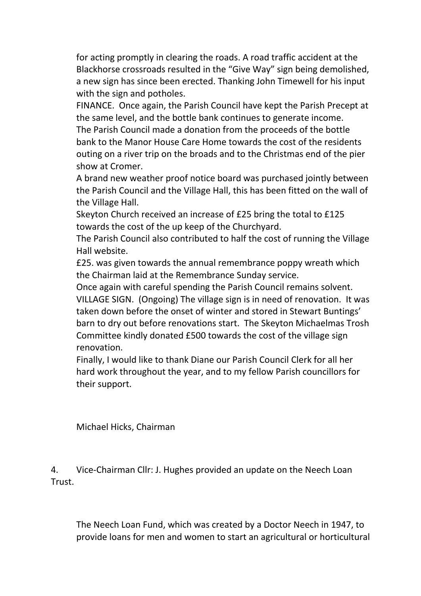for acting promptly in clearing the roads. A road traffic accident at the Blackhorse crossroads resulted in the "Give Way" sign being demolished, a new sign has since been erected. Thanking John Timewell for his input with the sign and potholes.

FINANCE. Once again, the Parish Council have kept the Parish Precept at the same level, and the bottle bank continues to generate income. The Parish Council made a donation from the proceeds of the bottle bank to the Manor House Care Home towards the cost of the residents outing on a river trip on the broads and to the Christmas end of the pier show at Cromer.

A brand new weather proof notice board was purchased jointly between the Parish Council and the Village Hall, this has been fitted on the wall of the Village Hall.

Skeyton Church received an increase of £25 bring the total to £125 towards the cost of the up keep of the Churchyard.

The Parish Council also contributed to half the cost of running the Village Hall website.

£25. was given towards the annual remembrance poppy wreath which the Chairman laid at the Remembrance Sunday service.

Once again with careful spending the Parish Council remains solvent. VILLAGE SIGN. (Ongoing) The village sign is in need of renovation. It was taken down before the onset of winter and stored in Stewart Buntings' barn to dry out before renovations start. The Skeyton Michaelmas Trosh Committee kindly donated £500 towards the cost of the village sign renovation.

Finally, I would like to thank Diane our Parish Council Clerk for all her hard work throughout the year, and to my fellow Parish councillors for their support.

Michael Hicks, Chairman

4. Vice-Chairman Cllr: J. Hughes provided an update on the Neech Loan Trust.

The Neech Loan Fund, which was created by a Doctor Neech in 1947, to provide loans for men and women to start an agricultural or horticultural